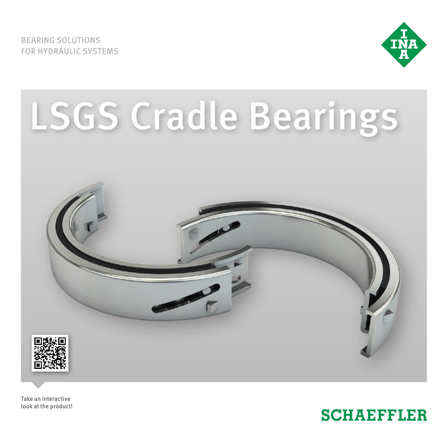BEARING SOLUTIONS FOR HYDRAULIC SYSTEMS





Take an interactive look at the product!

# **SCHAEFFLER**